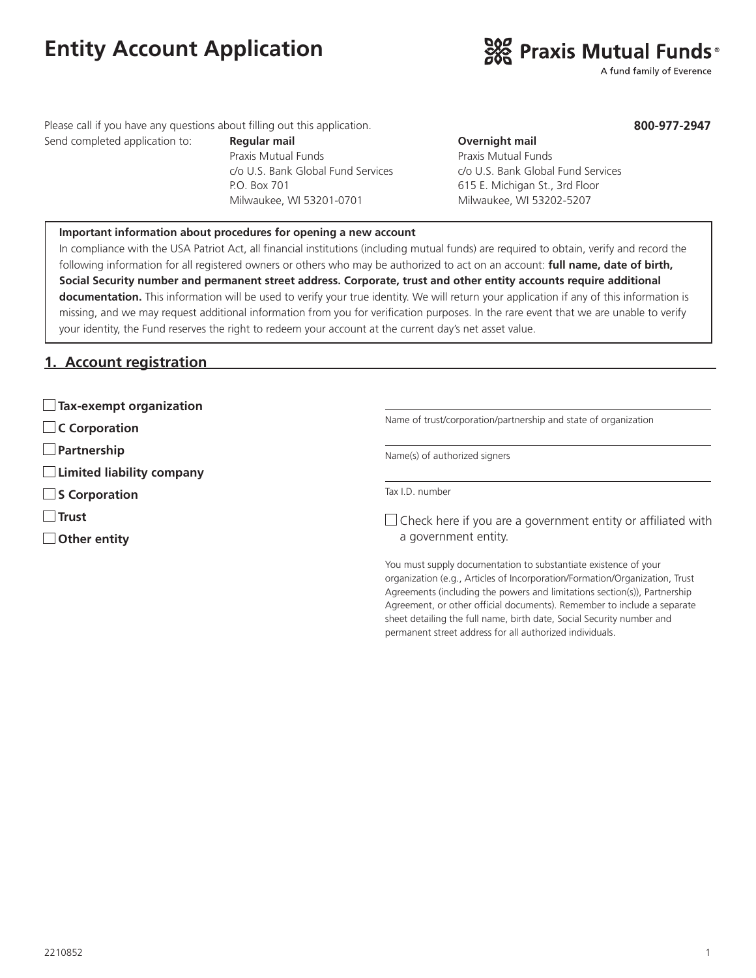# **Entity Account Application**



A fund family of Everence

**800-977-2947**

Please call if you have any questions about filling out this application.

Send completed application to: **Regular mail Completed application to: Regular mail Overnight mail** Praxis Mutual Funds **Praxis Mutual Funds** P.O. Box 701 615 E. Michigan St., 3rd Floor Milwaukee, WI 53201-0701 Milwaukee, WI 53202-5207

c/o U.S. Bank Global Fund Services c/o U.S. Bank Global Fund Services

#### **Important information about procedures for opening a new account**

In compliance with the USA Patriot Act, all financial institutions (including mutual funds) are required to obtain, verify and record the following information for all registered owners or others who may be authorized to act on an account: **full name, date of birth, Social Security number and permanent street address. Corporate, trust and other entity accounts require additional documentation.** This information will be used to verify your true identity. We will return your application if any of this information is missing, and we may request additional information from you for verification purposes. In the rare event that we are unable to verify your identity, the Fund reserves the right to redeem your account at the current day's net asset value.

#### **1. Account registration**

|  |  | $\Box$ Tax-exempt organization |
|--|--|--------------------------------|
|--|--|--------------------------------|

**C Corporation**

**Partnership**

**Limited liability company**

■ S Corporation

**Trust**

**Other entity**

Name of trust/corporation/partnership and state of organization

Name(s) of authorized signers

Tax I.D. number

 $\Box$  Check here if you are a government entity or affiliated with a government entity.

You must supply documentation to substantiate existence of your organization (e.g., Articles of Incorporation/Formation/Organization, Trust Agreements (including the powers and limitations section(s)), Partnership Agreement, or other official documents). Remember to include a separate sheet detailing the full name, birth date, Social Security number and permanent street address for all authorized individuals.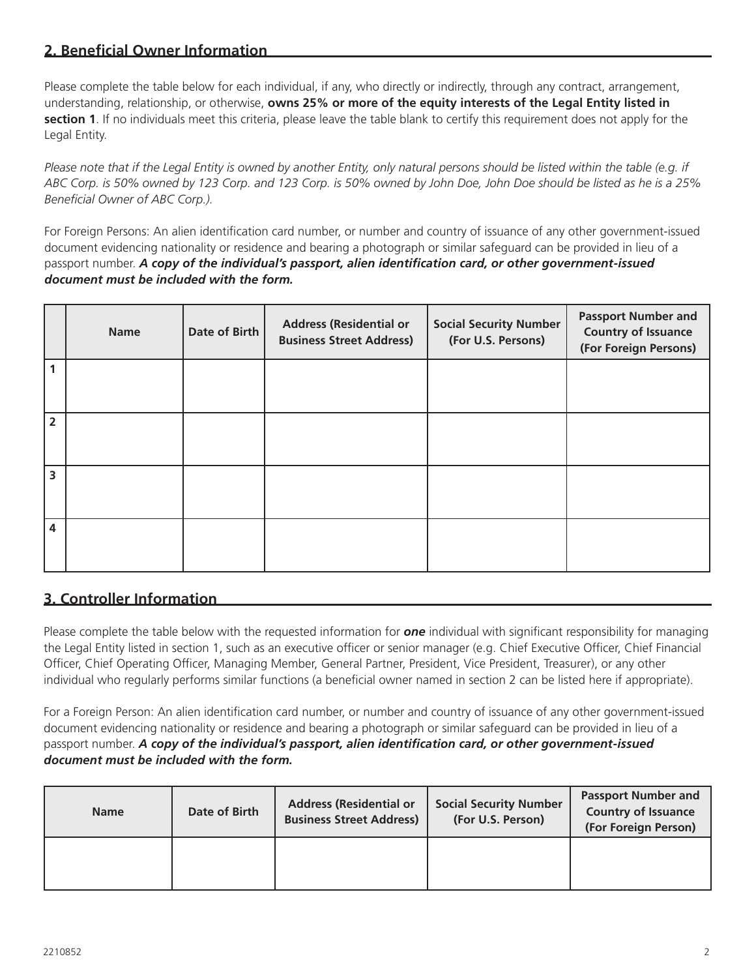### **2. Beneficial Owner Information**

Please complete the table below for each individual, if any, who directly or indirectly, through any contract, arrangement, understanding, relationship, or otherwise, **owns 25% or more of the equity interests of the Legal Entity listed in section 1**. If no individuals meet this criteria, please leave the table blank to certify this requirement does not apply for the Legal Entity.

*Please note that if the Legal Entity is owned by another Entity, only natural persons should be listed within the table (e.g. if ABC Corp. is 50% owned by 123 Corp. and 123 Corp. is 50% owned by John Doe, John Doe should be listed as he is a 25% Beneficial Owner of ABC Corp.).*

For Foreign Persons: An alien identification card number, or number and country of issuance of any other government-issued document evidencing nationality or residence and bearing a photograph or similar safeguard can be provided in lieu of a passport number. *A copy of the individual's passport, alien identification card, or other government-issued document must be included with the form.*

|                      | <b>Name</b> | Date of Birth | <b>Address (Residential or</b><br><b>Business Street Address)</b> | <b>Social Security Number</b><br>(For U.S. Persons) | <b>Passport Number and</b><br><b>Country of Issuance</b><br>(For Foreign Persons) |
|----------------------|-------------|---------------|-------------------------------------------------------------------|-----------------------------------------------------|-----------------------------------------------------------------------------------|
| $\blacktriangleleft$ |             |               |                                                                   |                                                     |                                                                                   |
| $\overline{2}$       |             |               |                                                                   |                                                     |                                                                                   |
| 3                    |             |               |                                                                   |                                                     |                                                                                   |
| 4                    |             |               |                                                                   |                                                     |                                                                                   |

#### **3. Controller Information**

Please complete the table below with the requested information for *one* individual with significant responsibility for managing the Legal Entity listed in section 1, such as an executive officer or senior manager (e.g. Chief Executive Officer, Chief Financial Officer, Chief Operating Officer, Managing Member, General Partner, President, Vice President, Treasurer), or any other individual who regularly performs similar functions (a beneficial owner named in section 2 can be listed here if appropriate).

For a Foreign Person: An alien identification card number, or number and country of issuance of any other government-issued document evidencing nationality or residence and bearing a photograph or similar safeguard can be provided in lieu of a passport number. *A copy of the individual's passport, alien identification card, or other government-issued document must be included with the form.*

| <b>Name</b> | Date of Birth | <b>Address (Residential or</b><br><b>Business Street Address)</b> | <b>Social Security Number</b><br>(For U.S. Person) | <b>Passport Number and</b><br><b>Country of Issuance</b><br>(For Foreign Person) |
|-------------|---------------|-------------------------------------------------------------------|----------------------------------------------------|----------------------------------------------------------------------------------|
|             |               |                                                                   |                                                    |                                                                                  |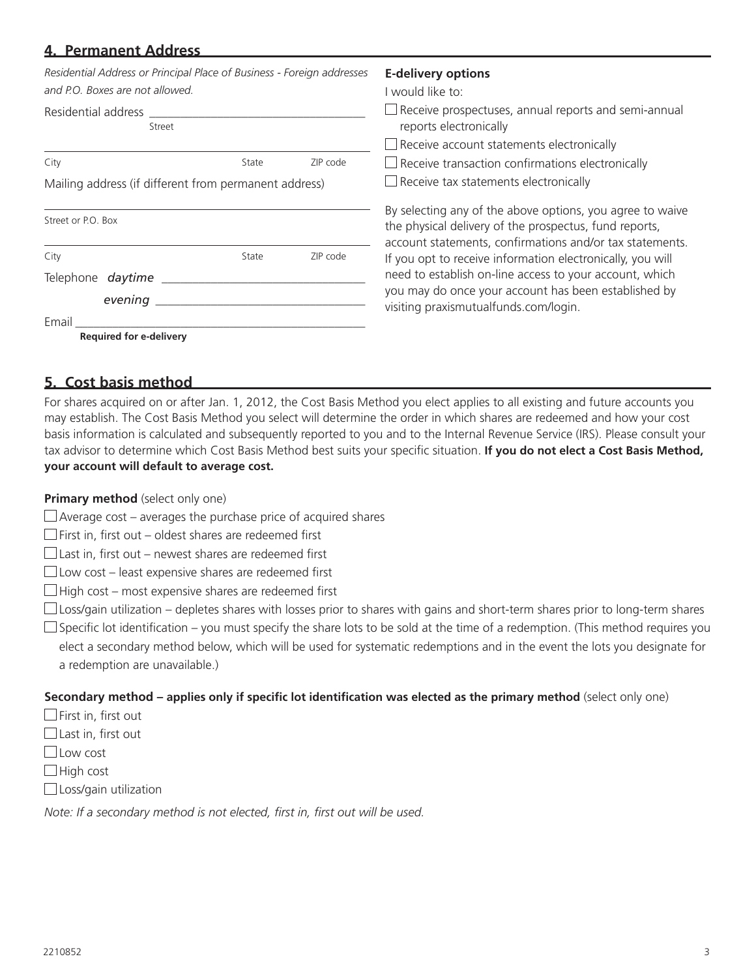#### **4. Permanent Address**

| Residential Address or Principal Place of Business - Foreign addresses |       |          | <b>E-delivery options</b>                                                                                                                                                       |       |
|------------------------------------------------------------------------|-------|----------|---------------------------------------------------------------------------------------------------------------------------------------------------------------------------------|-------|
| and P.O. Boxes are not allowed.                                        |       |          | I would like to:                                                                                                                                                                |       |
| Residential address<br>Street                                          |       |          | $\Box$ Receive prospectuses, annual reports and semi-annual<br>reports electronically                                                                                           |       |
|                                                                        |       |          | Receive account statements electronically                                                                                                                                       |       |
| City                                                                   | State | ZIP code | Receive transaction confirmations electronically                                                                                                                                |       |
| Mailing address (if different from permanent address)                  |       |          | $\Box$ Receive tax statements electronically                                                                                                                                    |       |
| Street or P.O. Box                                                     |       |          | By selecting any of the above options, you agree to waive<br>the physical delivery of the prospectus, fund reports,<br>account statements, confirmations and/or tax statements. |       |
| City                                                                   | State | ZIP code | If you opt to receive information electronically, you will                                                                                                                      |       |
| Telephone daytime<br>evening                                           |       |          | need to establish on-line access to your account, which<br>you may do once your account has been established by<br>visiting praxismutualfunds.com/login.                        |       |
|                                                                        |       |          |                                                                                                                                                                                 | Email |
| <b>Required for e-delivery</b>                                         |       |          |                                                                                                                                                                                 |       |

#### **5. Cost basis method**

For shares acquired on or after Jan. 1, 2012, the Cost Basis Method you elect applies to all existing and future accounts you may establish. The Cost Basis Method you select will determine the order in which shares are redeemed and how your cost basis information is calculated and subsequently reported to you and to the Internal Revenue Service (IRS). Please consult your tax advisor to determine which Cost Basis Method best suits your specific situation. **If you do not elect a Cost Basis Method, your account will default to average cost.**

#### **Primary method** (select only one)

- $\Box$  Average cost averages the purchase price of acquired shares
- $\Box$  First in, first out oldest shares are redeemed first
- $\Box$  Last in, first out newest shares are redeemed first
- $\Box$  Low cost least expensive shares are redeemed first
- $\Box$  High cost most expensive shares are redeemed first
- $\Box$  Loss/gain utilization depletes shares with losses prior to shares with gains and short-term shares prior to long-term shares
- $\Box$  Specific lot identification you must specify the share lots to be sold at the time of a redemption. (This method requires you elect a secondary method below, which will be used for systematic redemptions and in the event the lots you designate for a redemption are unavailable.)

#### **Secondary method – applies only if specific lot identification was elected as the primary method** (select only one)

- $\Box$  First in, first out
- $\Box$  Last in, first out
- Low cost
- $\Box$  High cost
- $\Box$  Loss/gain utilization

*Note: If a secondary method is not elected, first in, first out will be used.*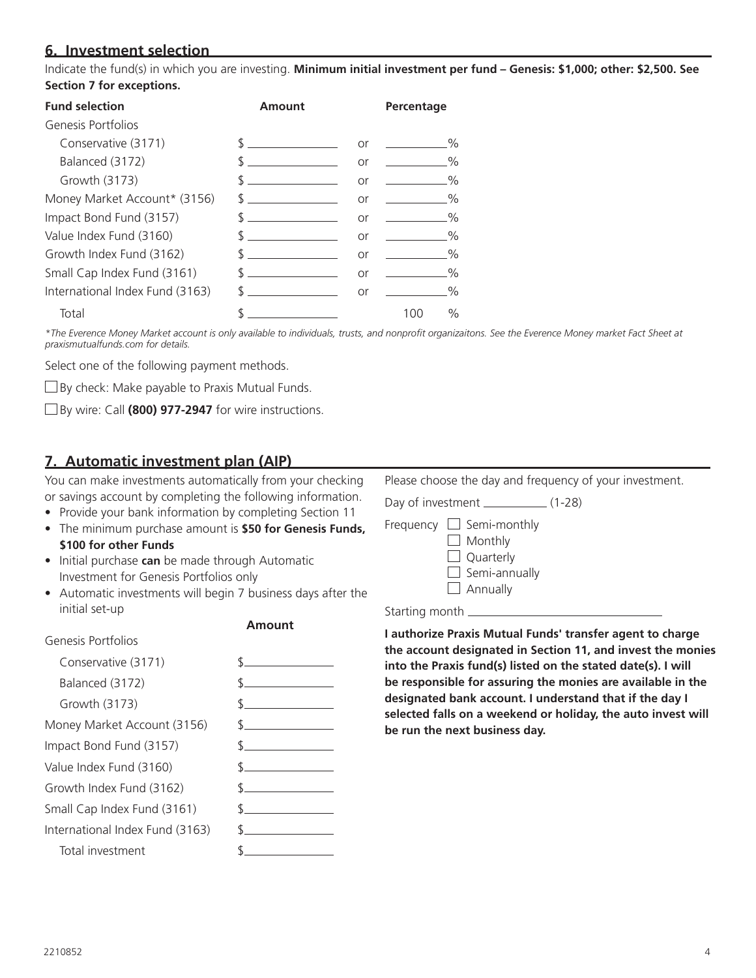#### **6. Investment selection**

Indicate the fund(s) in which you are investing. **Minimum initial investment per fund – Genesis: \$1,000; other: \$2,500. See Section 7 for exceptions.** 

| <b>Fund selection</b>           | Amount        |           | Percentage                   |
|---------------------------------|---------------|-----------|------------------------------|
| Genesis Portfolios              |               |           |                              |
| Conservative (3171)             |               | or        | $\frac{0}{0}$                |
| Balanced (3172)                 |               | <b>or</b> | $\frac{0}{0}$                |
| Growth (3173)                   |               | or        | $\frac{0}{0}$                |
| Money Market Account* (3156)    | $\mathcal{S}$ | or        | $\frac{0}{0}$                |
| Impact Bond Fund (3157)         | $\sim$        |           | $\frac{0}{0}$<br>or $\qquad$ |
| Value Index Fund (3160)         | $\sim$        | or        | $\frac{0}{0}$                |
| Growth Index Fund (3162)        | $\sim$        | or        | $\frac{0}{0}$                |
| Small Cap Index Fund (3161)     | $\sim$        | or        | %                            |
| International Index Fund (3163) | $\sim$        | or        | %                            |
| Total                           |               |           | $\%$<br>100                  |

*\*The Everence Money Market account is only available to individuals, trusts, and nonprofit organizaitons. See the Everence Money market Fact Sheet at praxismutualfunds.com for details.*

Select one of the following payment methods.

 $\square$  By check: Make payable to Praxis Mutual Funds.

By wire: Call **(800) 977-2947** for wire instructions.

#### **7. Automatic investment plan (AIP)**

You can make investments automatically from your checking or savings account by completing the following information.

- Provide your bank information by completing Section 11
- The minimum purchase amount is **\$50 for Genesis Funds, \$100 for other Funds**
- Initial purchase **can** be made through Automatic Investment for Genesis Portfolios only
- Automatic investments will begin 7 business days after the initial set-up



Please choose the day and frequency of your investment.

Day of investment \_\_\_\_\_\_\_\_\_\_\_\_\_ (1-28)

- Frequency  $\Box$  Semi-monthly **Monthly** 
	- $\Box$  Quarterly  $\Box$  Semi-annually  $\Box$  Annually

Starting month

**I authorize Praxis Mutual Funds' transfer agent to charge the account designated in Section 11, and invest the monies into the Praxis fund(s) listed on the stated date(s). I will be responsible for assuring the monies are available in the designated bank account. I understand that if the day I selected falls on a weekend or holiday, the auto invest will be run the next business day.**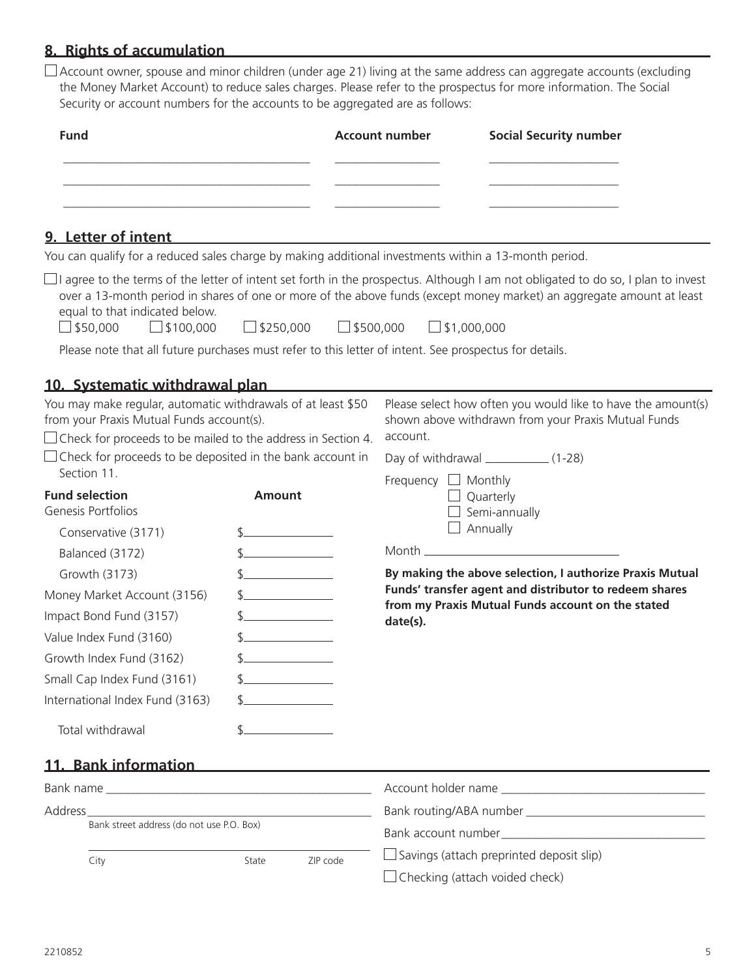## **8. Rights of accumulation**

 $\Box$  Account owner, spouse and minor children (under age 21) living at the same address can aggregate accounts (excluding the Money Market Account) to reduce sales charges. Please refer to the prospectus for more information. The Social Security or account numbers for the accounts to be aggregated are as follows:

| <b>Fund</b> | <b>Account number</b> | <b>Social Security number</b> |
|-------------|-----------------------|-------------------------------|
|             |                       |                               |
|             |                       |                               |
|             |                       |                               |

#### **9. Letter of intent**

You can qualify for a reduced sales charge by making additional investments within a 13-month period.

 $\Box$  I agree to the terms of the letter of intent set forth in the prospectus. Although I am not obligated to do so, I plan to invest over a 13-month period in shares of one or more of the above funds (except money market) an aggregate amount at least equal to that indicated below.

 $\Box$ \$50,000  $\Box$ \$100,000  $\Box$ \$250,000  $\Box$ \$500,000  $\Box$ \$1,000,000

City **State** ZIP code

Please note that all future purchases must refer to this letter of intent. See prospectus for details.

#### **10. Systematic withdrawal plan**

| <u> 101 - 111 - 101 - 101 - 111 - 111 - 110 - 110 - 110 - 110 - 110 - 110 - 110 - 110 - 110 - 110 - 110 - 110 - 1</u>                                                            |                     |                                                                                                                                 |  |
|----------------------------------------------------------------------------------------------------------------------------------------------------------------------------------|---------------------|---------------------------------------------------------------------------------------------------------------------------------|--|
| You may make regular, automatic withdrawals of at least \$50<br>from your Praxis Mutual Funds account(s).<br>$\Box$ Check for proceeds to be mailed to the address in Section 4. |                     | Please select how often you would like to have the amount(s)<br>shown above withdrawn from your Praxis Mutual Funds<br>account. |  |
| $\Box$ Check for proceeds to be deposited in the bank account in<br>Section 11.                                                                                                  |                     | Frequency $\Box$ Monthly                                                                                                        |  |
| <b>Fund selection</b><br>Genesis Portfolios                                                                                                                                      | <b>Amount</b>       | $\Box$ Quarterly<br>$\Box$ Semi-annually                                                                                        |  |
| Conservative (3171)                                                                                                                                                              | $\sim$              | Annually                                                                                                                        |  |
| Balanced (3172)                                                                                                                                                                  |                     |                                                                                                                                 |  |
| $\uparrow$<br>Growth (3173)                                                                                                                                                      |                     | By making the above selection, I authorize Praxis Mutual                                                                        |  |
| Money Market Account (3156)                                                                                                                                                      | $\uparrow$          | Funds' transfer agent and distributor to redeem shares<br>from my Praxis Mutual Funds account on the stated<br>date(s).         |  |
| Impact Bond Fund (3157)                                                                                                                                                          |                     |                                                                                                                                 |  |
| Value Index Fund (3160)                                                                                                                                                          | $\uparrow$          |                                                                                                                                 |  |
| Growth Index Fund (3162)                                                                                                                                                         | $\sim$              |                                                                                                                                 |  |
| Small Cap Index Fund (3161)                                                                                                                                                      | $\mathcal{S}$       |                                                                                                                                 |  |
| International Index Fund (3163)                                                                                                                                                  | $\frac{1}{2}$       |                                                                                                                                 |  |
| Total withdrawal                                                                                                                                                                 |                     |                                                                                                                                 |  |
| 11. Bank information                                                                                                                                                             |                     |                                                                                                                                 |  |
|                                                                                                                                                                                  |                     |                                                                                                                                 |  |
| Address                                                                                                                                                                          |                     |                                                                                                                                 |  |
| Bank street address (do not use P.O. Box)                                                                                                                                        |                     |                                                                                                                                 |  |
| $\int$ ity and $\int$                                                                                                                                                            | $Atc+2$<br>7ID code | $\Box$ Savings (attach preprinted deposit slip)                                                                                 |  |

 $\Box$  Checking (attach voided check)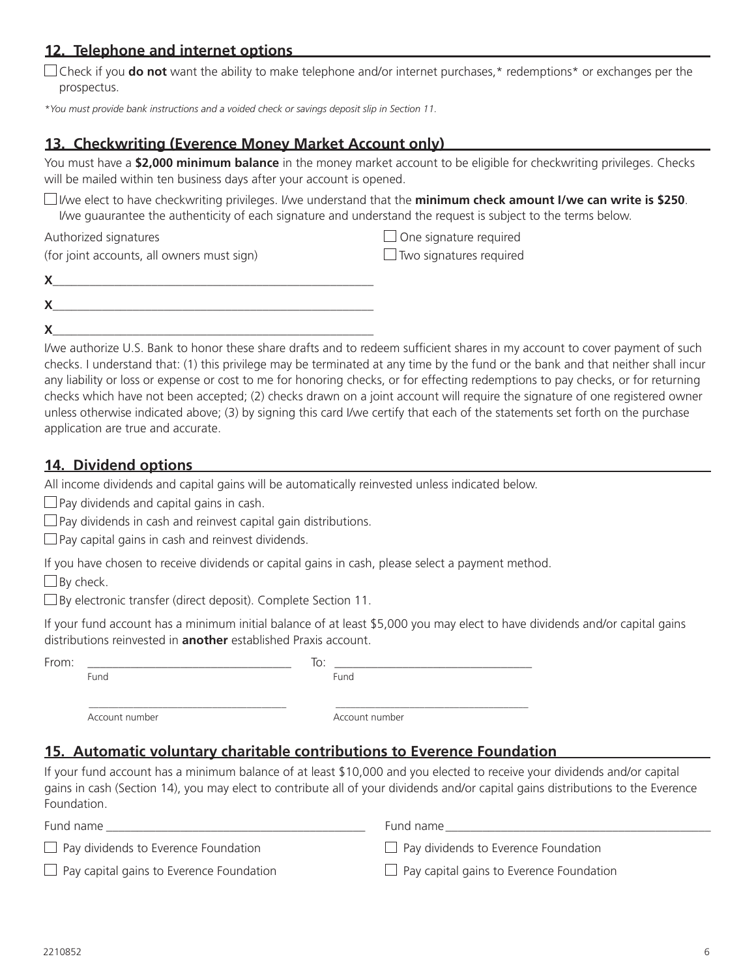#### **12. Telephone and internet options**

 $\Box$  Check if you **do not** want the ability to make telephone and/or internet purchases,\* redemptions\* or exchanges per the prospectus.

*\*You must provide bank instructions and a voided check or savings deposit slip in Section 11.*

#### **13. Checkwriting (Everence Money Market Account only)**

You must have a **\$2,000 minimum balance** in the money market account to be eligible for checkwriting privileges. Checks will be mailed within ten business days after your account is opened.

I/we elect to have checkwriting privileges. I/we understand that the **minimum check amount I/we can write is \$250**. I/we guaurantee the authenticity of each signature and understand the request is subject to the terms below.

Authorized signatures **One signature required** One signature required

(for joint accounts, all owners must sign)  $\Box$  Two signatures required

**X**\_\_\_\_\_\_\_\_\_\_\_\_\_\_\_\_\_\_\_\_\_\_\_\_\_\_\_\_\_\_\_\_\_\_\_\_\_\_\_\_\_\_\_\_\_\_\_\_\_\_\_\_

I/we authorize U.S. Bank to honor these share drafts and to redeem sufficient shares in my account to cover payment of such checks. I understand that: (1) this privilege may be terminated at any time by the fund or the bank and that neither shall incur any liability or loss or expense or cost to me for honoring checks, or for effecting redemptions to pay checks, or for returning checks which have not been accepted; (2) checks drawn on a joint account will require the signature of one registered owner unless otherwise indicated above; (3) by signing this card I/we certify that each of the statements set forth on the purchase application are true and accurate.

#### **14. Dividend options**

All income dividends and capital gains will be automatically reinvested unless indicated below.

 $\Box$  Pay dividends and capital gains in cash.

 $\Box$  Pay dividends in cash and reinvest capital gain distributions.

 $\Box$  Pay capital gains in cash and reinvest dividends.

If you have chosen to receive dividends or capital gains in cash, please select a payment method.

 $\Box$  By check.

 $\square$  By electronic transfer (direct deposit). Complete Section 11.

If your fund account has a minimum initial balance of at least \$5,000 you may elect to have dividends and/or capital gains distributions reinvested in **another** established Praxis account.

From: \_\_\_\_\_\_\_\_\_\_\_\_\_\_\_\_\_\_\_\_\_\_\_\_\_\_\_\_\_\_\_\_\_ To: \_\_\_\_\_\_\_\_\_\_\_\_\_\_\_\_\_\_\_\_\_\_\_\_\_\_\_\_\_\_\_\_ **Fund** Fund **Fund** Fund

Account number Account number

#### **15. Automatic voluntary charitable contributions to Everence Foundation**

\_\_\_\_\_\_\_\_\_\_\_\_\_\_\_\_\_\_\_\_\_\_\_\_\_\_\_\_\_\_\_\_\_\_\_\_\_\_\_\_ \_\_\_\_\_\_\_\_\_\_\_\_\_\_\_\_\_\_\_\_\_\_\_\_\_\_\_\_\_\_\_\_\_\_\_\_\_\_\_

If your fund account has a minimum balance of at least \$10,000 and you elected to receive your dividends and/or capital gains in cash (Section 14), you may elect to contribute all of your dividends and/or capital gains distributions to the Everence Foundation.

| Fund name                                       | Fund name                                       |
|-------------------------------------------------|-------------------------------------------------|
| $\Box$ Pay dividends to Everence Foundation     | $\Box$ Pay dividends to Everence Foundation     |
| $\Box$ Pay capital gains to Everence Foundation | $\Box$ Pay capital gains to Everence Foundation |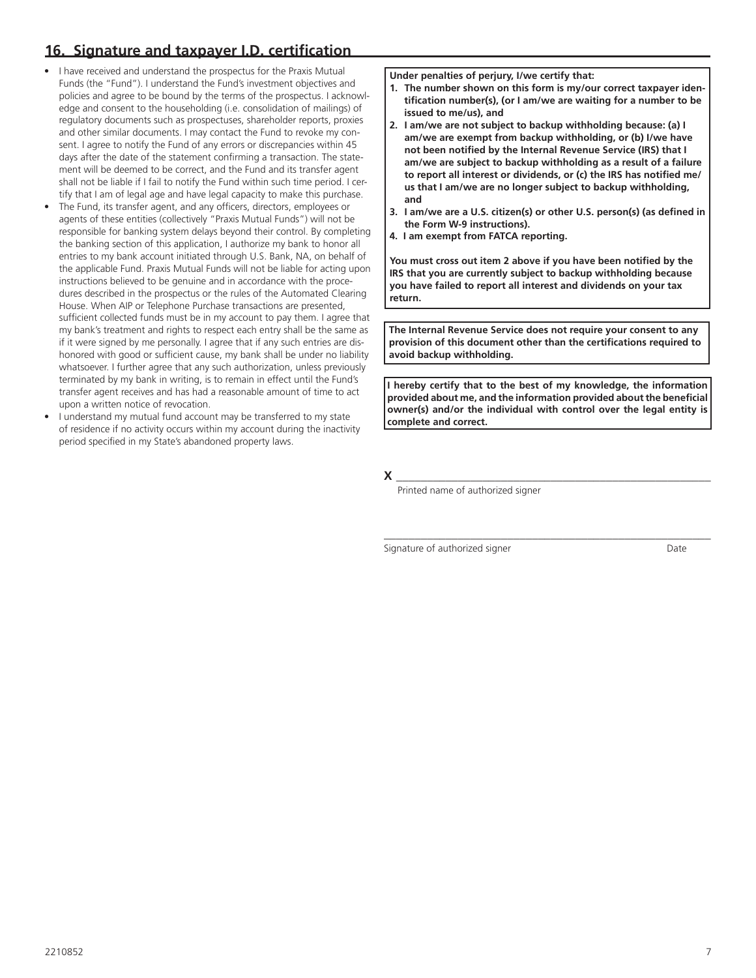## **16. Signature and taxpayer I.D. certification**

- I have received and understand the prospectus for the Praxis Mutual Funds (the "Fund"). I understand the Fund's investment objectives and policies and agree to be bound by the terms of the prospectus. I acknowledge and consent to the householding (i.e. consolidation of mailings) of regulatory documents such as prospectuses, shareholder reports, proxies and other similar documents. I may contact the Fund to revoke my consent. I agree to notify the Fund of any errors or discrepancies within 45 days after the date of the statement confirming a transaction. The statement will be deemed to be correct, and the Fund and its transfer agent shall not be liable if I fail to notify the Fund within such time period. I certify that I am of legal age and have legal capacity to make this purchase.
- The Fund, its transfer agent, and any officers, directors, employees or agents of these entities (collectively "Praxis Mutual Funds") will not be responsible for banking system delays beyond their control. By completing the banking section of this application, I authorize my bank to honor all entries to my bank account initiated through U.S. Bank, NA, on behalf of the applicable Fund. Praxis Mutual Funds will not be liable for acting upon instructions believed to be genuine and in accordance with the procedures described in the prospectus or the rules of the Automated Clearing House. When AIP or Telephone Purchase transactions are presented, sufficient collected funds must be in my account to pay them. I agree that my bank's treatment and rights to respect each entry shall be the same as if it were signed by me personally. I agree that if any such entries are dishonored with good or sufficient cause, my bank shall be under no liability whatsoever. I further agree that any such authorization, unless previously terminated by my bank in writing, is to remain in effect until the Fund's transfer agent receives and has had a reasonable amount of time to act upon a written notice of revocation.
- I understand my mutual fund account may be transferred to my state of residence if no activity occurs within my account during the inactivity period specified in my State's abandoned property laws.

**Under penalties of perjury, I/we certify that:**

- **1. The number shown on this form is my/our correct taxpayer identification number(s), (or I am/we are waiting for a number to be issued to me/us), and**
- **2. I am/we are not subject to backup withholding because: (a) I am/we are exempt from backup withholding, or (b) I/we have not been notified by the Internal Revenue Service (IRS) that I am/we are subject to backup withholding as a result of a failure to report all interest or dividends, or (c) the IRS has notified me/ us that I am/we are no longer subject to backup withholding, and**
- **3. I am/we are a U.S. citizen(s) or other U.S. person(s) (as defined in the Form W-9 instructions).**
- **4. I am exempt from FATCA reporting.**

**You must cross out item 2 above if you have been notified by the IRS that you are currently subject to backup withholding because you have failed to report all interest and dividends on your tax return.**

**The Internal Revenue Service does not require your consent to any provision of this document other than the certifications required to avoid backup withholding.** 

**I hereby certify that to the best of my knowledge, the information provided about me, and the information provided about the beneficial owner(s) and/or the individual with control over the legal entity is complete and correct.**

**X** \_\_\_\_\_\_\_\_\_\_\_\_\_\_\_\_\_\_\_\_\_\_\_\_\_\_\_\_\_\_\_\_\_\_\_\_\_\_\_\_\_\_\_\_\_\_\_\_\_\_\_ Printed name of authorized signer

Signature of authorized signer Date

\_\_\_\_\_\_\_\_\_\_\_\_\_\_\_\_\_\_\_\_\_\_\_\_\_\_\_\_\_\_\_\_\_\_\_\_\_\_\_\_\_\_\_\_\_\_\_\_\_\_\_\_\_